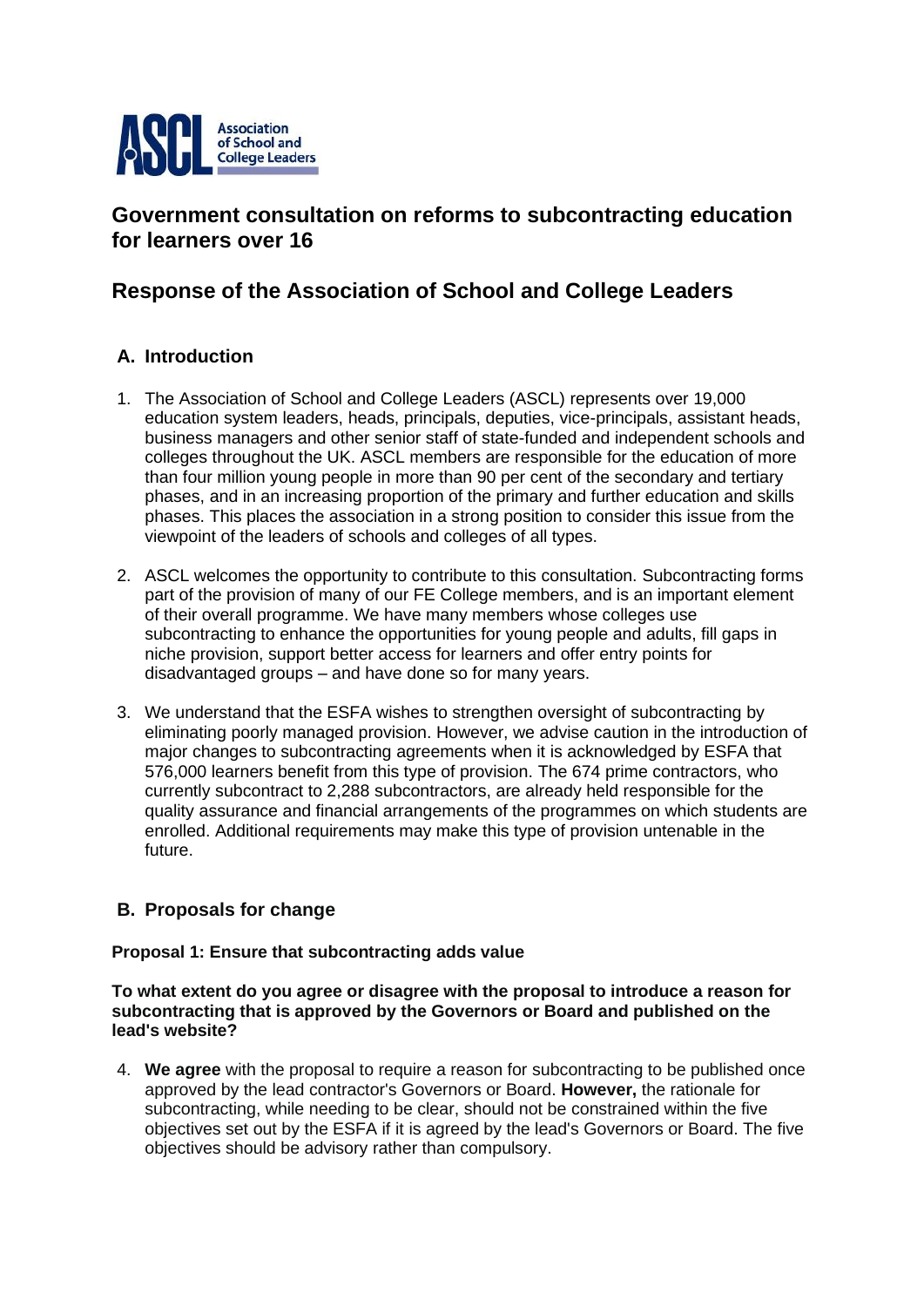

# **Government consultation on reforms to subcontracting education for learners over 16**

# **Response of the Association of School and College Leaders**

## **A. Introduction**

- 1. The Association of School and College Leaders (ASCL) represents over 19,000 education system leaders, heads, principals, deputies, vice-principals, assistant heads, business managers and other senior staff of state-funded and independent schools and colleges throughout the UK. ASCL members are responsible for the education of more than four million young people in more than 90 per cent of the secondary and tertiary phases, and in an increasing proportion of the primary and further education and skills phases. This places the association in a strong position to consider this issue from the viewpoint of the leaders of schools and colleges of all types.
- 2. ASCL welcomes the opportunity to contribute to this consultation. Subcontracting forms part of the provision of many of our FE College members, and is an important element of their overall programme. We have many members whose colleges use subcontracting to enhance the opportunities for young people and adults, fill gaps in niche provision, support better access for learners and offer entry points for disadvantaged groups – and have done so for many years.
- 3. We understand that the ESFA wishes to strengthen oversight of subcontracting by eliminating poorly managed provision. However, we advise caution in the introduction of major changes to subcontracting agreements when it is acknowledged by ESFA that 576,000 learners benefit from this type of provision. The 674 prime contractors, who currently subcontract to 2,288 subcontractors, are already held responsible for the quality assurance and financial arrangements of the programmes on which students are enrolled. Additional requirements may make this type of provision untenable in the future.

## **B. Proposals for change**

## **Proposal 1: Ensure that subcontracting adds value**

**To what extent do you agree or disagree with the proposal to introduce a reason for subcontracting that is approved by the Governors or Board and published on the lead's website?**

4. **We agree** with the proposal to require a reason for subcontracting to be published once approved by the lead contractor's Governors or Board. **However,** the rationale for subcontracting, while needing to be clear, should not be constrained within the five objectives set out by the ESFA if it is agreed by the lead's Governors or Board. The five objectives should be advisory rather than compulsory.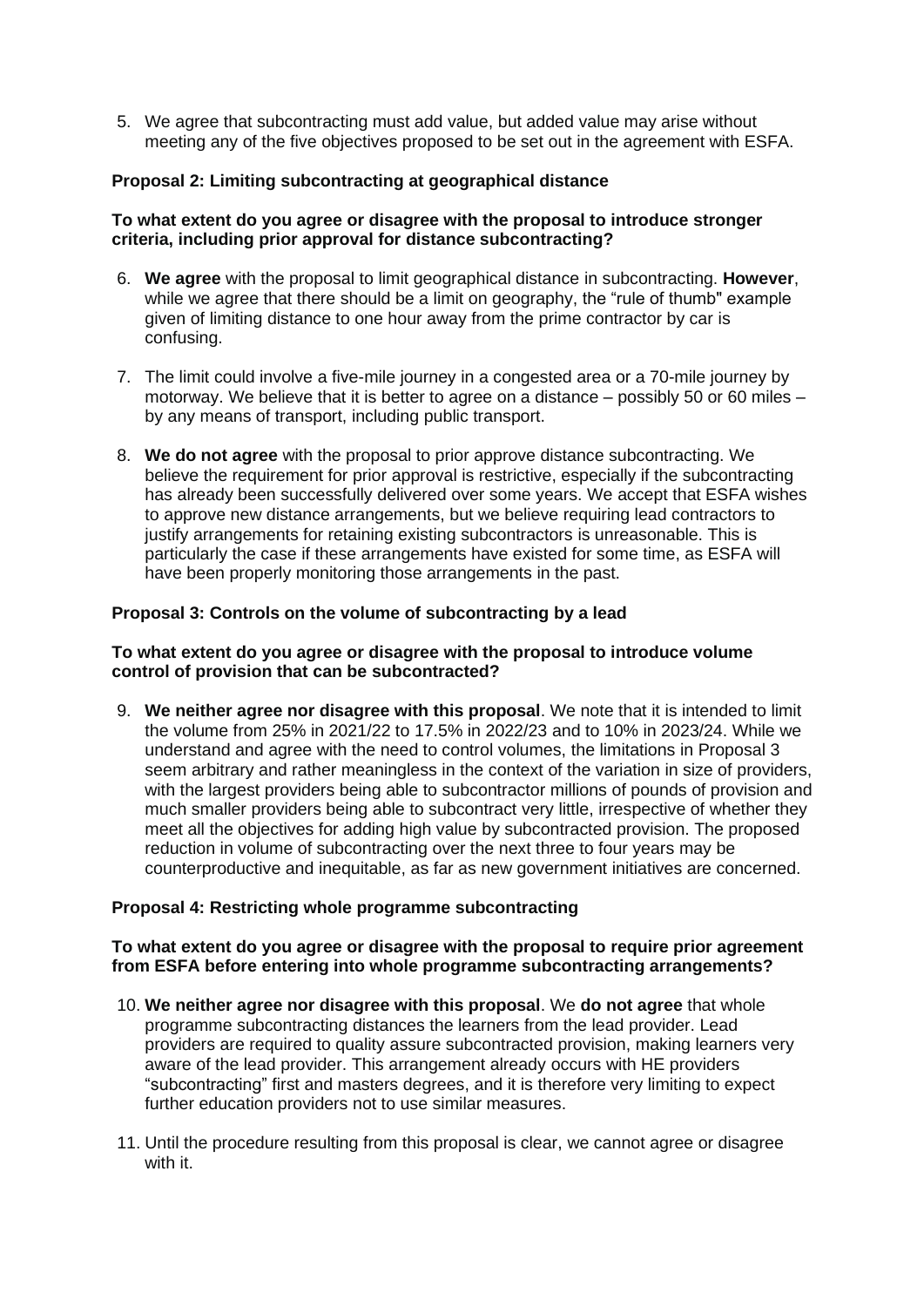5. We agree that subcontracting must add value, but added value may arise without meeting any of the five objectives proposed to be set out in the agreement with ESFA.

## **Proposal 2: Limiting subcontracting at geographical distance**

## **To what extent do you agree or disagree with the proposal to introduce stronger criteria, including prior approval for distance subcontracting?**

- 6. **We agree** with the proposal to limit geographical distance in subcontracting. **However**, while we agree that there should be a limit on geography, the "rule of thumb" example given of limiting distance to one hour away from the prime contractor by car is confusing.
- 7. The limit could involve a five-mile journey in a congested area or a 70-mile journey by motorway. We believe that it is better to agree on a distance – possibly 50 or 60 miles – by any means of transport, including public transport.
- 8. **We do not agree** with the proposal to prior approve distance subcontracting. We believe the requirement for prior approval is restrictive, especially if the subcontracting has already been successfully delivered over some years. We accept that ESFA wishes to approve new distance arrangements, but we believe requiring lead contractors to justify arrangements for retaining existing subcontractors is unreasonable. This is particularly the case if these arrangements have existed for some time, as ESFA will have been properly monitoring those arrangements in the past.

## **Proposal 3: Controls on the volume of subcontracting by a lead**

## **To what extent do you agree or disagree with the proposal to introduce volume control of provision that can be subcontracted?**

9. **We neither agree nor disagree with this proposal**. We note that it is intended to limit the volume from 25% in 2021/22 to 17.5% in 2022/23 and to 10% in 2023/24. While we understand and agree with the need to control volumes, the limitations in Proposal 3 seem arbitrary and rather meaningless in the context of the variation in size of providers, with the largest providers being able to subcontractor millions of pounds of provision and much smaller providers being able to subcontract very little, irrespective of whether they meet all the objectives for adding high value by subcontracted provision. The proposed reduction in volume of subcontracting over the next three to four years may be counterproductive and inequitable, as far as new government initiatives are concerned.

## **Proposal 4: Restricting whole programme subcontracting**

## **To what extent do you agree or disagree with the proposal to require prior agreement from ESFA before entering into whole programme subcontracting arrangements?**

- 10. **We neither agree nor disagree with this proposal**. We **do not agree** that whole programme subcontracting distances the learners from the lead provider. Lead providers are required to quality assure subcontracted provision, making learners very aware of the lead provider. This arrangement already occurs with HE providers "subcontracting" first and masters degrees, and it is therefore very limiting to expect further education providers not to use similar measures.
- 11. Until the procedure resulting from this proposal is clear, we cannot agree or disagree with it.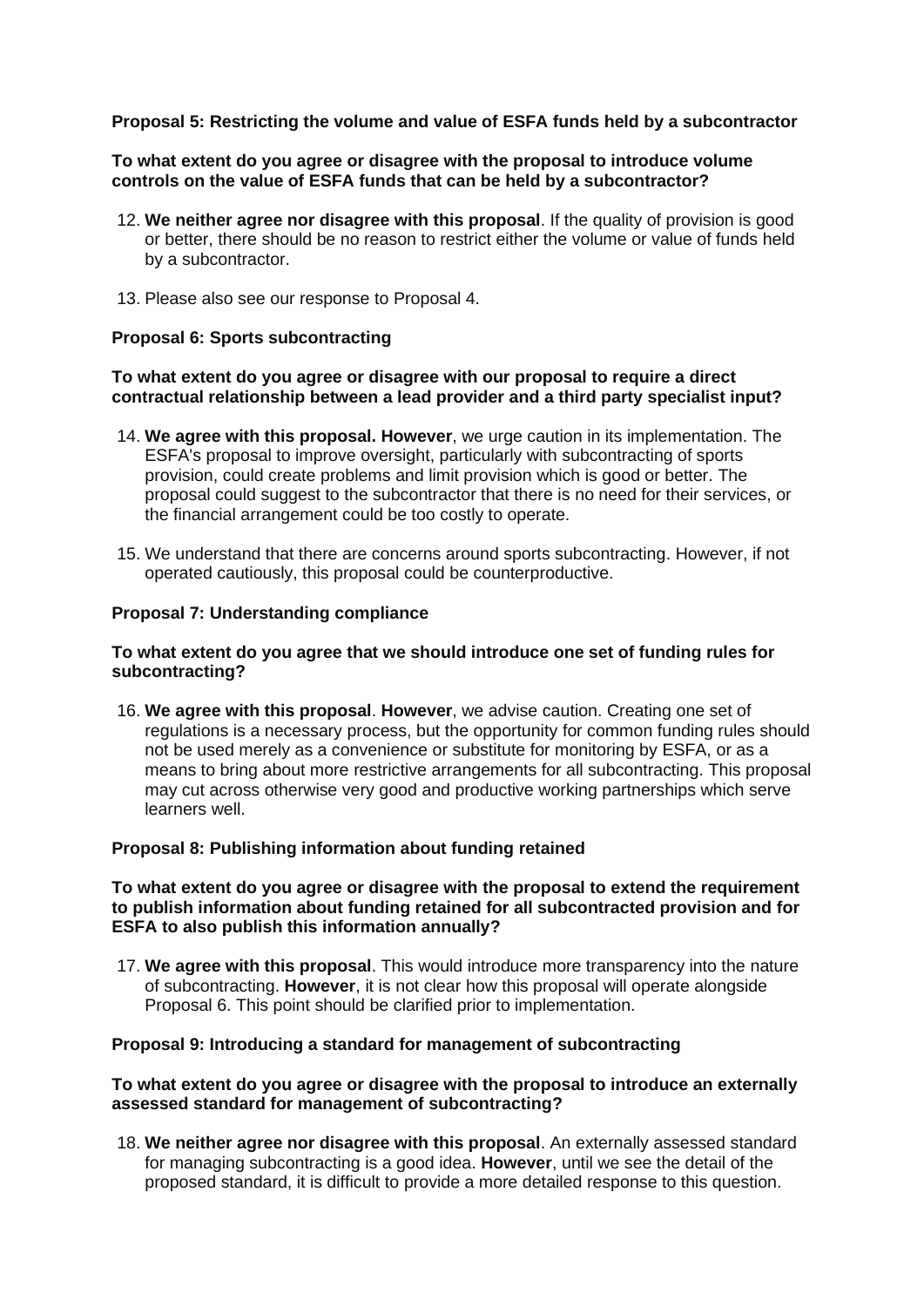## **Proposal 5: Restricting the volume and value of ESFA funds held by a subcontractor**

#### **To what extent do you agree or disagree with the proposal to introduce volume controls on the value of ESFA funds that can be held by a subcontractor?**

- 12. **We neither agree nor disagree with this proposal**. If the quality of provision is good or better, there should be no reason to restrict either the volume or value of funds held by a subcontractor.
- 13. Please also see our response to Proposal 4.

#### **Proposal 6: Sports subcontracting**

## **To what extent do you agree or disagree with our proposal to require a direct contractual relationship between a lead provider and a third party specialist input?**

- 14. **We agree with this proposal. However**, we urge caution in its implementation. The ESFA's proposal to improve oversight, particularly with subcontracting of sports provision, could create problems and limit provision which is good or better. The proposal could suggest to the subcontractor that there is no need for their services, or the financial arrangement could be too costly to operate.
- 15. We understand that there are concerns around sports subcontracting. However, if not operated cautiously, this proposal could be counterproductive.

## **Proposal 7: Understanding compliance**

## **To what extent do you agree that we should introduce one set of funding rules for subcontracting?**

16. **We agree with this proposal**. **However**, we advise caution. Creating one set of regulations is a necessary process, but the opportunity for common funding rules should not be used merely as a convenience or substitute for monitoring by ESFA, or as a means to bring about more restrictive arrangements for all subcontracting. This proposal may cut across otherwise very good and productive working partnerships which serve learners well.

#### **Proposal 8: Publishing information about funding retained**

### **To what extent do you agree or disagree with the proposal to extend the requirement to publish information about funding retained for all subcontracted provision and for ESFA to also publish this information annually?**

17. **We agree with this proposal**. This would introduce more transparency into the nature of subcontracting. **However**, it is not clear how this proposal will operate alongside Proposal 6. This point should be clarified prior to implementation.

#### **Proposal 9: Introducing a standard for management of subcontracting**

#### **To what extent do you agree or disagree with the proposal to introduce an externally assessed standard for management of subcontracting?**

18. **We neither agree nor disagree with this proposal**. An externally assessed standard for managing subcontracting is a good idea. **However**, until we see the detail of the proposed standard, it is difficult to provide a more detailed response to this question.